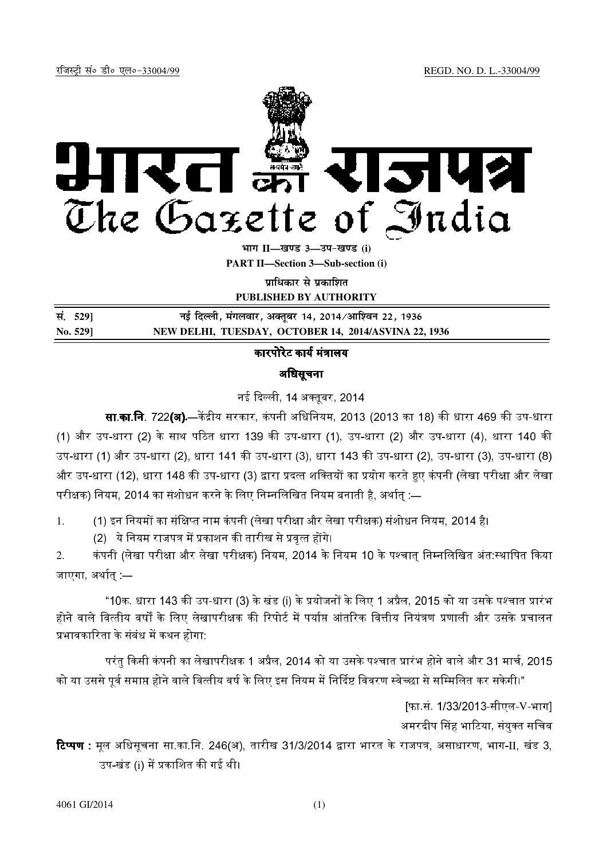

**Hkkx II—[k.M 3—mi&[k.M (i)**

**PART II—Section 3—Sub-section (i)**

**पाधिकार से प्रकाशित** 

**PUBLISHED BY AUTHORITY**

| सं. 529] | नई दिल्ली, मंगलवार, अक्तूबर 14, 2014/आश्विन 22, 1936 |
|----------|------------------------------------------------------|
| No. 529] | NEW DELHI, TUESDAY, OCTOBER 14, 2014/ASVINA 22, 1936 |

# कारपोरेट कार्य मंत्रालय

## अिधसूचना

नई दिल्ली 14 अक्तबर 2014

**सा.का.नि. 722(अ).—**केंद्रीय सरकार, कंपनी अधिनियम, 2013 (2013 का 18) की धारा 469 की उप-धारा (1) और उप-धारा (2) के साथ पठित धारा 139 की उप-धारा (1), उप-धारा (2) और उप-धारा (4), धारा 140 की ।

उप-धारा (1) और उप-धारा (2), धारा 141 की उप-धारा (3), धारा 143 की उप-धारा (2), उप-धारा (3), उप-धारा (8) और उप-धारा (12), धारा 148 की उप-धारा (3) द्वारा प्रदत्त शक्तियों का प्रयोग करते हुए कंपनी (लेखा परीक्षा और लेखा परीक्षक) नियम, 2014 का संशोधन करने के लिए निम्नलिखित नियम बनाती है, अर्थात् :—

1. (1) इन नियमों का संक्षिप्त नाम कंपनी (लेखा परीक्षा और लेखा परीक्षक) संशोधन नियम, 2014 है।

(2) ये नियम राजपत्र में प्रकाशन की तारीख से प्रवत्त होंगे।

2. कंपनी (लेखा परीक्षा और लेखा परीक्षक) नियम, 2014 के नियम 10 के पश्चात् निम्नलिखित अंत:स्थापित किया जाएगा, अर्थात् —

"10क. धारा 143 की उप-धारा (3) के खंड (i) के प्रयोजनों के लिए 1 अप्रैल. 2015 को या उसके पश्चात प्रारंभ होने वाले वित्तीय वर्षों के लिए लेखापरीक्षक की रिपोर्ट में पर्याप्त आंतरिक वित्तीय नियंत्रण प्रणाली और उसके प्रचालन प्रभावकारिता के संबंध में कथन होगा: ।

परंत किसी कंपनी का लेखापरीक्षक 1 अप्रैल. 2014 को या उसके पश्चात प्रारंभ होने वाले और 31 मार्च. 2015 को या उससे पर्व समाप्त होने वाले वित्तीय वर्ष के लिए इस नियम में निर्दिष्ट विवरण स्वेच्छा से सम्मिलित कर सकेगी।"

> [फा.सं. 1/33/2013-सीएल-V-भाग] अमरदीप सिंह भाटिया. संयक्त सचिव

**टिप्पण :** मूल अधिसूचना सा.का.नि. 246(अ), तारीख 31/3/2014 द्वारा भारत के राजपत्र, असाधारण, भाग-II, खंड 3, उप-खंड (i) में प्रकाशित की गई थी।